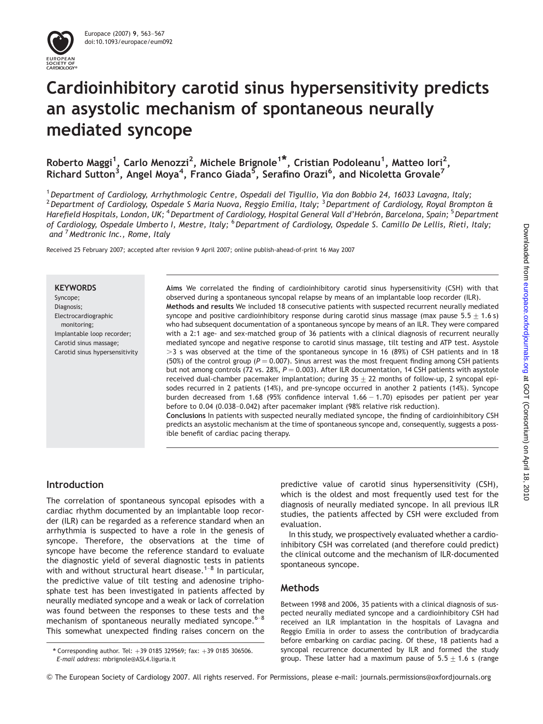

# Cardioinhibitory carotid sinus hypersensitivity predicts an asystolic mechanism of spontaneous neurally mediated syncope

Roberto Maggi<sup>1</sup>, Carlo Menozzi<sup>2</sup>, Michele Brignole<sup>1\*</sup>, Cristian Podoleanu<sup>1</sup>, Matteo Iori<sup>2</sup>, Richard Sutton<sup>3</sup>, Angel Moya<sup>4</sup>, Franco Giada<sup>5</sup>, Serafino Orazi<sup>6</sup>, and Nicoletta Grovale<sup>7</sup>

<sup>1</sup> Department of Cardiology, Arrhythmologic Centre, Ospedali del Tigullio, Via don Bobbio 24, 16033 Lavagna, Italy; <sup>2</sup> Department of Cardiology, Ospedale S Maria Nuova, Reggio Emilia, Italy; <sup>3</sup> Department of Cardiology, Royal Brompton & Harefield Hospitals, London, UK; <sup>4</sup> Department of Cardiology, Hospital General Vall d'Hebrón, Barcelona, Spain; <sup>5</sup> Department of Cardiology, Ospedale Umberto I, Mestre, Italy; <sup>6</sup> Department of Cardiology, Ospedale S. Camillo De Lellis, Rieti, Italy; and <sup>7</sup>Medtronic Inc., Rome, Italy

Received 25 February 2007; accepted after revision 9 April 2007; online publish-ahead-of-print 16 May 2007

#### **KEYWORDS**

Syncope: Diagnosis; Electrocardiographic monitoring; Implantable loop recorder; Carotid sinus massage; Carotid sinus hypersensitivity Aims We correlated the finding of cardioinhibitory carotid sinus hypersensitivity (CSH) with that observed during a spontaneous syncopal relapse by means of an implantable loop recorder (ILR). Methods and results We included 18 consecutive patients with suspected recurrent neurally mediated syncope and positive cardioinhibitory response during carotid sinus massage (max pause  $5.5 + 1.6$  s) who had subsequent documentation of a spontaneous syncope by means of an ILR. They were compared with a 2:1 age- and sex-matched group of 36 patients with a clinical diagnosis of recurrent neurally mediated syncope and negative response to carotid sinus massage, tilt testing and ATP test. Asystole  $>$ 3 s was observed at the time of the spontaneous syncope in 16 (89%) of CSH patients and in 18 (50%) of the control group ( $P = 0.007$ ). Sinus arrest was the most frequent finding among CSH patients but not among controls (72 vs. 28%,  $P = 0.003$ ). After ILR documentation, 14 CSH patients with asystole received dual-chamber pacemaker implantation; during  $35 + 22$  months of follow-up, 2 syncopal episodes recurred in 2 patients (14%), and pre-syncope occurred in another 2 patients (14%). Syncope burden decreased from 1.68 (95% confidence interval  $1.66 - 1.70$ ) episodes per patient per year before to 0.04 (0.038–0.042) after pacemaker implant (98% relative risk reduction).

Conclusions In patients with suspected neurally mediated syncope, the finding of cardioinhibitory CSH predicts an asystolic mechanism at the time of spontaneous syncope and, consequently, suggests a possible benefit of cardiac pacing therapy.

# Introduction

The correlation of spontaneous syncopal episodes with a cardiac rhythm documented by an implantable loop recorder (ILR) can be regarded as a reference standard when an arrhythmia is suspected to have a role in the genesis of syncope. Therefore, the observations at the time of syncope have become the reference standard to evaluate the diagnostic yield of several diagnostic tests in patients with and without structural heart disease.<sup>1-8</sup> In particular, the predictive value of tilt testing and adenosine triphosphate test has been investigated in patients affected by neurally mediated syncope and a weak or lack of correlation was found between the responses to these tests and the mechanism of spontaneous neurally mediated syncope.<sup>6-8</sup> This somewhat unexpected finding raises concern on the predictive value of carotid sinus hypersensitivity (CSH), which is the oldest and most frequently used test for the diagnosis of neurally mediated syncope. In all previous ILR studies, the patients affected by CSH were excluded from evaluation.

In this study, we prospectively evaluated whether a cardioinhibitory CSH was correlated (and therefore could predict) the clinical outcome and the mechanism of ILR-documented spontaneous syncope.

# Methods

Between 1998 and 2006, 35 patients with a clinical diagnosis of suspected neurally mediated syncope and a cardioinhibitory CSH had received an ILR implantation in the hospitals of Lavagna and Reggio Emilia in order to assess the contribution of bradycardia before embarking on cardiac pacing. Of these, 18 patients had a syncopal recurrence documented by ILR and formed the study group. These latter had a maximum pause of  $5.5 \pm 1.6$  s (range

<sup>\*</sup> Corresponding author. Tel:  $+39$  0185 329569; fax:  $+39$  0185 306506. E-mail address: mbrignole@ASL4.liguria.it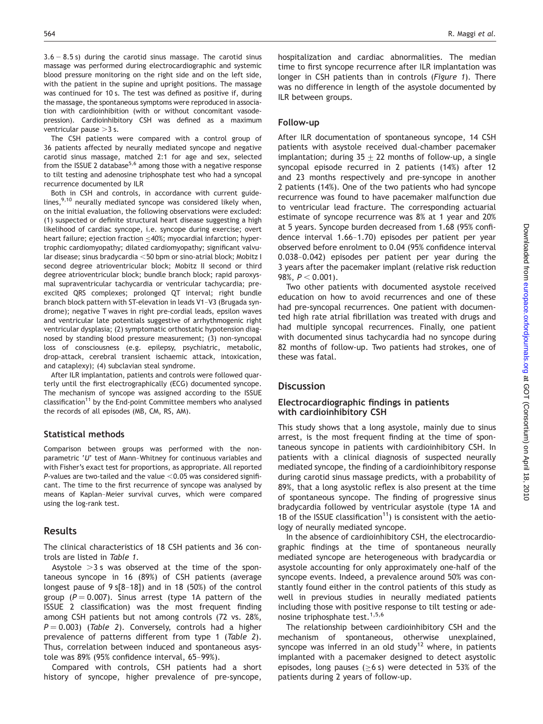$3.6 - 8.5$  s) during the carotid sinus massage. The carotid sinus massage was performed during electrocardiographic and systemic blood pressure monitoring on the right side and on the left side, with the patient in the supine and upright positions. The massage was continued for 10 s. The test was defined as positive if, during the massage, the spontaneous symptoms were reproduced in association with cardioinhibition (with or without concomitant vasodepression). Cardioinhibitory CSH was defined as a maximum ventricular pause  $>$ 3 s.

The CSH patients were compared with a control group of 36 patients affected by neurally mediated syncope and negative carotid sinus massage, matched 2:1 for age and sex, selected from the ISSUE 2 database<sup>5,6</sup> among those with a negative response to tilt testing and adenosine triphosphate test who had a syncopal recurrence documented by ILR

Both in CSH and controls, in accordance with current guidelines, $9,10$  neurally mediated syncope was considered likely when, on the initial evaluation, the following observations were excluded: (1) suspected or definite structural heart disease suggesting a high likelihood of cardiac syncope, i.e. syncope during exercise; overt heart failure; ejection fraction  $\leq$  40%; myocardial infarction; hypertrophic cardiomyopathy; dilated cardiomyopathy; significant valvular disease; sinus bradycardia <50 bpm or sino-atrial block; Mobitz I second degree atrioventricular block; Mobitz II second or third degree atrioventricular block; bundle branch block; rapid paroxysmal supraventricular tachycardia or ventricular tachycardia; preexcited QRS complexes; prolonged QT interval; right bundle branch block pattern with ST-elevation in leads V1–V3 (Brugada syndrome); negative T waves in right pre-cordial leads, epsilon waves and ventricular late potentials suggestive of arrhythmogenic right ventricular dysplasia; (2) symptomatic orthostatic hypotension diagnosed by standing blood pressure measurement; (3) non-syncopal loss of consciousness (e.g. epilepsy, psychiatric, metabolic, drop-attack, cerebral transient ischaemic attack, intoxication, and cataplexy); (4) subclavian steal syndrome.

After ILR implantation, patients and controls were followed quarterly until the first electrographically (ECG) documented syncope. The mechanism of syncope was assigned according to the ISSUE  $classification<sup>11</sup>$  by the End-point Committee members who analysed the records of all episodes (MB, CM, RS, AM).

#### Statistical methods

Comparison between groups was performed with the nonparametric 'U' test of Mann–Whitney for continuous variables and with Fisher's exact test for proportions, as appropriate. All reported P-values are two-tailed and the value  $<$  0.05 was considered significant. The time to the first recurrence of syncope was analysed by means of Kaplan–Meier survival curves, which were compared using the log-rank test.

#### Results

The clinical characteristics of 18 CSH patients and 36 controls are listed in Table 1.

Asystole  $>3$  s was observed at the time of the spontaneous syncope in 16 (89%) of CSH patients (average longest pause of 9 s[8–18]) and in 18 (50%) of the control group ( $P = 0.007$ ). Sinus arrest (type 1A pattern of the ISSUE 2 classification) was the most frequent finding among CSH patients but not among controls (72 vs. 28%,  $P = 0.003$ ) (Table 2). Conversely, controls had a higher prevalence of patterns different from type 1 (Table 2). Thus, correlation between induced and spontaneous asystole was 89% (95% confidence interval, 65–99%).

Compared with controls, CSH patients had a short history of syncope, higher prevalence of pre-syncope,

hospitalization and cardiac abnormalities. The median time to first syncope recurrence after ILR implantation was longer in CSH patients than in controls (Figure 1). There was no difference in length of the asystole documented by ILR between groups.

## Follow-up

After ILR documentation of spontaneous syncope, 14 CSH patients with asystole received dual-chamber pacemaker implantation; during  $35 \pm 22$  months of follow-up, a single syncopal episode recurred in 2 patients (14%) after 12 and 23 months respectively and pre-syncope in another 2 patients (14%). One of the two patients who had syncope recurrence was found to have pacemaker malfunction due to ventricular lead fracture. The corresponding actuarial estimate of syncope recurrence was 8% at 1 year and 20% at 5 years. Syncope burden decreased from 1.68 (95% confidence interval 1.66–1.70) episodes per patient per year observed before enrolment to 0.04 (95% confidence interval 0.038–0.042) episodes per patient per year during the 3 years after the pacemaker implant (relative risk reduction 98%,  $P < 0.001$ ).

Two other patients with documented asystole received education on how to avoid recurrences and one of these had pre-syncopal recurrences. One patient with documented high rate atrial fibrillation was treated with drugs and had multiple syncopal recurrences. Finally, one patient with documented sinus tachycardia had no syncope during 82 months of follow-up. Two patients had strokes, one of these was fatal.

# **Discussion**

## Electrocardiographic findings in patients with cardioinhibitory CSH

This study shows that a long asystole, mainly due to sinus arrest, is the most frequent finding at the time of spontaneous syncope in patients with cardioinhibitory CSH. In patients with a clinical diagnosis of suspected neurally mediated syncope, the finding of a cardioinhibitory response during carotid sinus massage predicts, with a probability of 89%, that a long asystolic reflex is also present at the time of spontaneous syncope. The finding of progressive sinus bradycardia followed by ventricular asystole (type 1A and 1B of the ISSUE classification<sup>11</sup>) is consistent with the aetiology of neurally mediated syncope.

In the absence of cardioinhibitory CSH, the electrocardiographic findings at the time of spontaneous neurally mediated syncope are heterogeneous with bradycardia or asystole accounting for only approximately one-half of the syncope events. Indeed, a prevalence around 50% was constantly found either in the control patients of this study as well in previous studies in neurally mediated patients including those with positive response to tilt testing or adenosine triphosphate test.<sup>1,5,6</sup>

The relationship between cardioinhibitory CSH and the mechanism of spontaneous, otherwise unexplained, syncope was inferred in an old study<sup>12</sup> where, in patients implanted with a pacemaker designed to detect asystolic episodes, long pauses ( $\geq$ 6 s) were detected in 53% of the patients during 2 years of follow-up.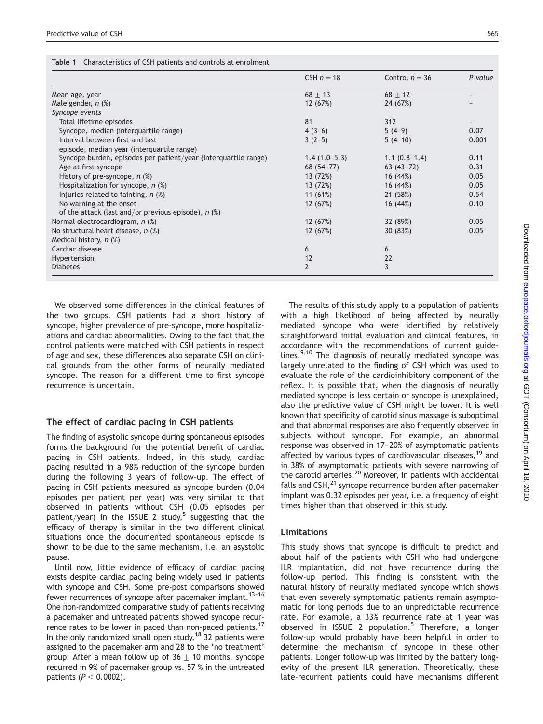|  |  |  | Table 1 Characteristics of CSH patients and controls at enrolment |
|--|--|--|-------------------------------------------------------------------|
|--|--|--|-------------------------------------------------------------------|

|                                                                 | CSH $n = 18$   | Control $n = 36$ | P-value |
|-----------------------------------------------------------------|----------------|------------------|---------|
| Mean age, year                                                  | $68 + 13$      | $68 + 12$        |         |
| Male gender, $n$ $%$                                            | 12 (67%)       | 24 (67%)         |         |
| Syncope events                                                  |                |                  |         |
| Total lifetime episodes                                         | 81             | 312              |         |
| Syncope, median (interquartile range)                           | $4(3-6)$       | $5(4-9)$         | 0.07    |
| Interval between first and last                                 | $3(2-5)$       | $5(4-10)$        | 0.001   |
| episode, median year (interquartile range)                      |                |                  |         |
| Syncope burden, episodes per patient/year (interquartile range) | $1.4(1.0-5.3)$ | $1.1(0.8-1.4)$   | 0.11    |
| Age at first syncope                                            | $68(54-77)$    | $63(43-72)$      | 0.31    |
| History of pre-syncope, $n$ (%)                                 | 13 (72%)       | 16 (44%)         | 0.05    |
| Hospitalization for syncope, $n$ (%)                            | 13 (72%)       | 16(44%)          | 0.05    |
| Injuries related to fainting, $n$ (%)                           | 11 $(61%)$     | 21 (58%)         | 0.54    |
| No warning at the onset                                         | 12 (67%)       | 16 (44%)         | 0.10    |
| of the attack (last and/or previous episode), $n$ (%)           |                |                  |         |
| Normal electrocardiogram, n (%)                                 | 12 (67%)       | 32 (89%)         | 0.05    |
| No structural heart disease, $n$ (%)                            | 12 (67%)       | 30 (83%)         | 0.05    |
| Medical history, $n$ $%$                                        |                |                  |         |
| Cardiac disease                                                 | 6              | 6                |         |
| Hypertension                                                    | 12             | 22               |         |
| <b>Diabetes</b>                                                 | $\overline{2}$ | 3                |         |

We observed some differences in the clinical features of the two groups. CSH patients had a short history of syncope, higher prevalence of pre-syncope, more hospitalizations and cardiac abnormalities. Owing to the fact that the control patients were matched with CSH patients in respect of age and sex, these differences also separate CSH on clinical grounds from the other forms of neurally mediated syncope. The reason for a different time to first syncope recurrence is uncertain.

### The effect of cardiac pacing in CSH patients

The finding of asystolic syncope during spontaneous episodes forms the background for the potential benefit of cardiac pacing in CSH patients. Indeed, in this study, cardiac pacing resulted in a 98% reduction of the syncope burden during the following 3 years of follow-up. The effect of pacing in CSH patients measured as syncope burden (0.04 episodes per patient per year) was very similar to that observed in patients without CSH (0.05 episodes per patient/year) in the ISSUE 2 study,<sup>5</sup> suggesting that the efficacy of therapy is similar in the two different clinical situations once the documented spontaneous episode is shown to be due to the same mechanism, i.e. an asystolic pause.

Until now, little evidence of efficacy of cardiac pacing exists despite cardiac pacing being widely used in patients with syncope and CSH. Some pre-post comparisons showed fewer recurrences of syncope after pacemaker implant.<sup>13-16</sup> One non-randomized comparative study of patients receiving a pacemaker and untreated patients showed syncope recurrence rates to be lower in paced than non-paced patients.<sup>17</sup> In the only randomized small open study,  $18$  32 patients were assigned to the pacemaker arm and 28 to the 'no treatment' group. After a mean follow up of  $36 \pm 10$  months, syncope recurred in 9% of pacemaker group vs. 57 % in the untreated patients  $(P < 0.0002)$ .

The results of this study apply to a population of patients with a high likelihood of being affected by neurally mediated syncope who were identified by relatively straightforward initial evaluation and clinical features, in accordance with the recommendations of current guidelines. $9,10$  The diagnosis of neurally mediated syncope was largely unrelated to the finding of CSH which was used to evaluate the role of the cardioinhibitory component of the reflex. It is possible that, when the diagnosis of neurally mediated syncope is less certain or syncope is unexplained, also the predictive value of CSH might be lower. It is well known that specificity of carotid sinus massage is suboptimal and that abnormal responses are also frequently observed in subjects without syncope. For example, an abnormal response was observed in 17–20% of asymptomatic patients affected by various types of cardiovascular diseases,<sup>19</sup> and in 38% of asymptomatic patients with severe narrowing of the carotid arteries.<sup>20</sup> Moreover, in patients with accidental falls and  $\text{CSH},^{21}$  syncope recurrence burden after pacemaker implant was 0.32 episodes per year, i.e. a frequency of eight times higher than that observed in this study.

# Limitations

This study shows that syncope is difficult to predict and about half of the patients with CSH who had undergone ILR implantation, did not have recurrence during the follow-up period. This finding is consistent with the natural history of neurally mediated syncope which shows that even severely symptomatic patients remain asymptomatic for long periods due to an unpredictable recurrence rate. For example, a 33% recurrence rate at 1 year was observed in ISSUE 2 population.<sup>5</sup> Therefore, a longer follow-up would probably have been helpful in order to determine the mechanism of syncope in these other patients. Longer follow-up was limited by the battery longevity of the present ILR generation. Theoretically, these late-recurrent patients could have mechanisms different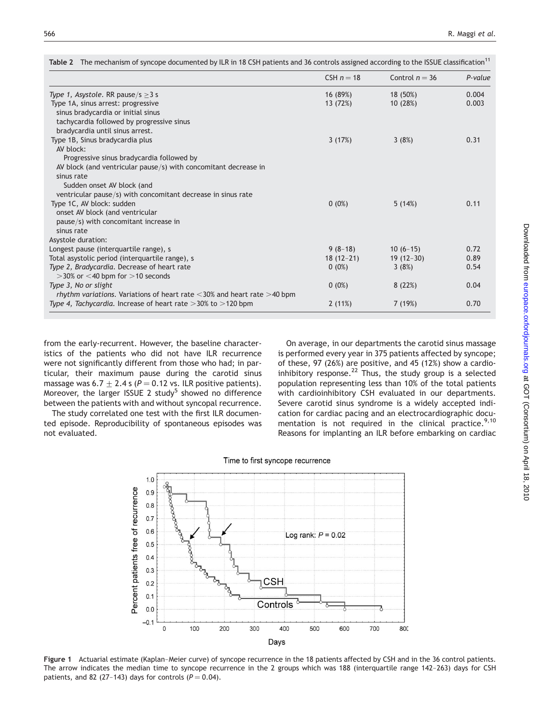|                                                                                      | CSH $n = 18$ | Control $n = 36$ | P-value |
|--------------------------------------------------------------------------------------|--------------|------------------|---------|
| Type 1, Asystole. RR pause/s $\geq$ 3 s                                              | 16 (89%)     | 18 (50%)         | 0.004   |
| Type 1A, sinus arrest: progressive                                                   | 13 (72%)     | 10(28%)          | 0.003   |
| sinus bradycardia or initial sinus                                                   |              |                  |         |
| tachycardia followed by progressive sinus                                            |              |                  |         |
| bradycardia until sinus arrest.                                                      |              |                  |         |
| Type 1B, Sinus bradycardia plus                                                      | 3(17%)       | 3(8%)            | 0.31    |
| AV block:                                                                            |              |                  |         |
| Progressive sinus bradycardia followed by                                            |              |                  |         |
| AV block (and ventricular pause/s) with concomitant decrease in                      |              |                  |         |
| sinus rate                                                                           |              |                  |         |
| Sudden onset AV block (and                                                           |              |                  |         |
| ventricular pause/s) with concomitant decrease in sinus rate                         |              |                  |         |
| Type 1C, AV block: sudden                                                            | $0(0\%)$     | 5(14%)           | 0.11    |
| onset AV block (and ventricular                                                      |              |                  |         |
| pause/s) with concomitant increase in                                                |              |                  |         |
| sinus rate                                                                           |              |                  |         |
| Asystole duration:                                                                   |              |                  |         |
| Longest pause (interquartile range), s                                               | $9(8-18)$    | $10(6-15)$       | 0.72    |
| Total asystolic period (interquartile range), s                                      | $18(12-21)$  | $19(12-30)$      | 0.89    |
| Type 2, Bradycardia. Decrease of heart rate                                          | $0(0\%)$     | 3(8%)            | 0.54    |
| $>$ 30% or $<$ 40 bpm for $>$ 10 seconds                                             |              |                  |         |
| Type 3, No or slight                                                                 | $0(0\%)$     | 8(22%)           | 0.04    |
| <i>rhythm variations.</i> Variations of heart rate $<$ 30% and heart rate $>$ 40 bpm |              |                  |         |
| Type 4, Tachycardia. Increase of heart rate $>$ 30% to $>$ 120 bpm                   | 2(11%)       | 7(19%)           | 0.70    |
|                                                                                      |              |                  |         |

Table 2 The mechanism of syncope documented by ILR in 18 CSH patients and 36 controls assigned according to the ISSUE classification<sup>11</sup>

from the early-recurrent. However, the baseline characteristics of the patients who did not have ILR recurrence were not significantly different from those who had; in particular, their maximum pause during the carotid sinus massage was  $6.7 \pm 2.4$  s ( $P = 0.12$  vs. ILR positive patients). Moreover, the larger ISSUE 2 study<sup>5</sup> showed no difference between the patients with and without syncopal recurrence.

The study correlated one test with the first ILR documented episode. Reproducibility of spontaneous episodes was not evaluated.

On average, in our departments the carotid sinus massage is performed every year in 375 patients affected by syncope; of these, 97 (26%) are positive, and 45 (12%) show a cardioinhibitory response.<sup>22</sup> Thus, the study group is a selected population representing less than 10% of the total patients with cardioinhibitory CSH evaluated in our departments. Severe carotid sinus syndrome is a widely accepted indication for cardiac pacing and an electrocardiographic documentation is not required in the clinical practice. $9,10$ Reasons for implanting an ILR before embarking on cardiac





Figure 1 Actuarial estimate (Kaplan–Meier curve) of syncope recurrence in the 18 patients affected by CSH and in the 36 control patients. The arrow indicates the median time to syncope recurrence in the 2 groups which was 188 (interquartile range 142–263) days for CSH patients, and 82 (27-143) days for controls ( $P = 0.04$ ).